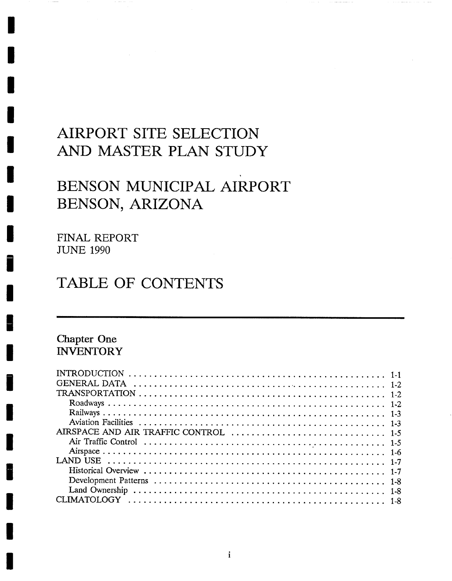# **AIRPORT SITE SELECTION AND MASTER PLAN STUDY**

# BENSON MUNICIPAL AIRPORT **BENSON, ARIZONA**

**FINAL REPORT**  JUNE 1990

# **TABLE OF CONTENTS**

# **Chapter One INVENTORY**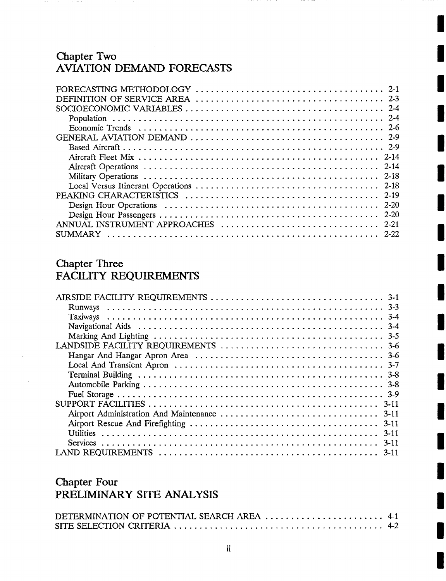## **Chapter Two AVIATION DEMAND FORECASTS**

| $2 - 19$ |
|----------|
| - 2-20   |
|          |
|          |
|          |
|          |

## **Chapter Three**  FACILITY REQUIREMENTS

| $3 - 11$ |  |
|----------|--|
|          |  |

# **Chapter Four PRELIMINARY SITE ANALYSIS**

| DETERMINATION OF POTENTIAL SEARCH AREA  4-1 |  |
|---------------------------------------------|--|
|                                             |  |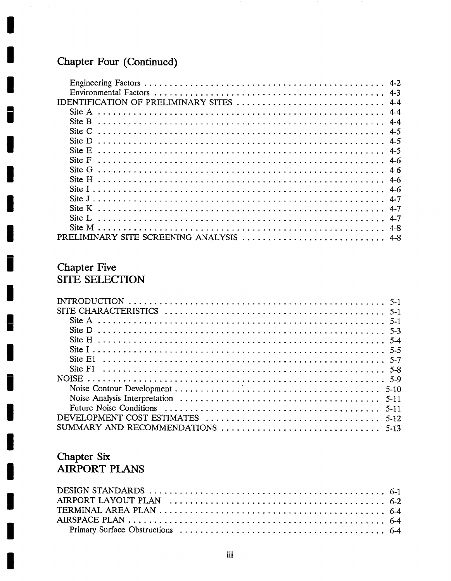# Chapter Four (Continued)

İ

 $\blacksquare$ 

ļ.

| $4 - 3$                                      |  |
|----------------------------------------------|--|
| IDENTIFICATION OF PRELIMINARY SITES<br>$4-4$ |  |
| Site A                                       |  |
| Site B                                       |  |
| $\operatorname{Site} C$<br>4.5               |  |
| Site D                                       |  |
| Site E<br>$4-5$                              |  |
| Site F                                       |  |
| Site G<br>$4-6$                              |  |
| Site H<br>$4-6$                              |  |
|                                              |  |
|                                              |  |
| Site K                                       |  |
| Site L<br>$4 - 7$                            |  |
| $4-8$                                        |  |
| PRELIMINARY SITE SCREENING ANALYSIS          |  |

# **Chapter Five** SITE SELECTION

| $5 - 11$ |
|----------|
|          |
|          |

# Chapter Six<br>AIRPORT PLANS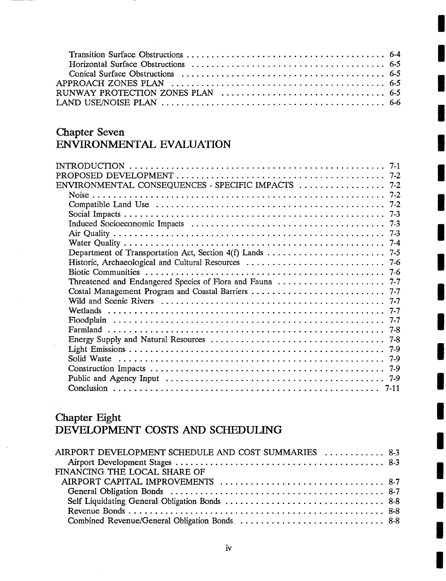| RUNWAY PROTECTION ZONES PLAN $\ldots \ldots \ldots \ldots \ldots \ldots \ldots \ldots \ldots$ 6-5 |  |
|---------------------------------------------------------------------------------------------------|--|
|                                                                                                   |  |

## **Chapter Seven ENVIRONMENTAL EVALUATION**

| PROPOSED                                           |  |
|----------------------------------------------------|--|
| ENVIRONMENTAL CONSEQUENCES - SPECIFIC IMPACTS  7-2 |  |
|                                                    |  |
|                                                    |  |
|                                                    |  |
|                                                    |  |
|                                                    |  |
|                                                    |  |
|                                                    |  |
|                                                    |  |
|                                                    |  |
|                                                    |  |
|                                                    |  |
|                                                    |  |
|                                                    |  |
|                                                    |  |
|                                                    |  |
|                                                    |  |
|                                                    |  |
|                                                    |  |
|                                                    |  |
|                                                    |  |
|                                                    |  |

# **Chapter Eight**  DEVELOPMENT COSTS AND SCHEDULING

| AIRPORT DEVELOPMENT SCHEDULE AND COST SUMMARIES  8-3 |  |
|------------------------------------------------------|--|
|                                                      |  |
| FINANCING THE LOCAL SHARE OF                         |  |
|                                                      |  |
|                                                      |  |
|                                                      |  |
|                                                      |  |
|                                                      |  |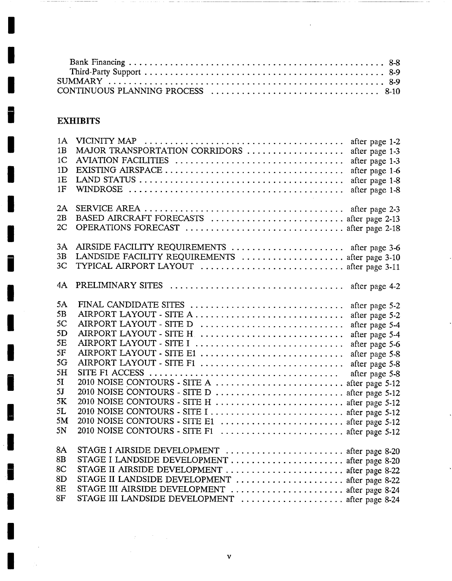$\hat{\mathbf{r}}$ 

# **EXHIBITS**

 $\overline{\phantom{a}}$ 

L

 $\overline{\phantom{a}}$ 

 $\bar{z}$ 

 $\gamma_{\rm in}$ 

 $\bar{z}$ 

| 1A<br>1B<br>1 <sup>C</sup><br>1D<br>1E<br>1F | MAJOR TRANSPORTATION CORRIDORS<br>AVIATION FACILITIES                                                | after page 1-2<br>after page 1-3<br>after page 1-3<br>after page 1-6<br>after page 1-8<br>after page 1-8 |
|----------------------------------------------|------------------------------------------------------------------------------------------------------|----------------------------------------------------------------------------------------------------------|
| 2A<br>2B<br>2C                               | BASED AIRCRAFT FORECASTS  after page 2-13<br>OPERATIONS FORECAST  after page 2-18                    |                                                                                                          |
| 3A<br>3B                                     | AIRSIDE FACILITY REQUIREMENTS  after page 3-6                                                        |                                                                                                          |
| 3 <sub>C</sub>                               | LANDSIDE FACILITY REQUIREMENTS  after page 3-10                                                      |                                                                                                          |
|                                              | TYPICAL AIRPORT LAYOUT  after page 3-11                                                              |                                                                                                          |
| 4A                                           |                                                                                                      |                                                                                                          |
| 5A                                           | FINAL CANDIDATE SITES                                                                                | after page 5-2                                                                                           |
| 5B                                           | AIRPORT LAYOUT - SITE A                                                                              | after page 5-2                                                                                           |
| 5C                                           | AIRPORT LAYOUT - SITE D                                                                              | after page 5-4                                                                                           |
| 5D                                           | AIRPORT LAYOUT - SITE H.                                                                             | after page 5-4                                                                                           |
| 5E                                           | AIRPORT LAYOUT - SITE I                                                                              | after page 5-6                                                                                           |
| 5F                                           | AIRPORT LAYOUT - SITE E1                                                                             | after page 5-8                                                                                           |
| 5G                                           | AIRPORT LAYOUT - SITE F1                                                                             | after page 5-8                                                                                           |
| 5H                                           | SITE F1 ACCESS $\ldots \ldots \ldots \ldots \ldots \ldots \ldots \ldots \ldots \ldots \ldots \ldots$ | after page 5-8                                                                                           |
| 5I                                           | 2010 NOISE CONTOURS - SITE A  after page 5-12                                                        |                                                                                                          |
| 5J                                           | 2010 NOISE CONTOURS - SITE D  after page 5-12                                                        |                                                                                                          |
| 5K                                           | 2010 NOISE CONTOURS - SITE H  after page 5-12                                                        |                                                                                                          |
| 5L                                           | 2010 NOISE CONTOURS - SITE I  after page 5-12                                                        |                                                                                                          |
| 5M                                           | 2010 NOISE CONTOURS - SITE E1  after page 5-12                                                       |                                                                                                          |
| 5N                                           | 2010 NOISE CONTOURS - SITE F1  after page 5-12                                                       |                                                                                                          |
| 8A                                           | STAGE I AIRSIDE DEVELOPMENT  after page 8-20                                                         |                                                                                                          |
| 8B                                           |                                                                                                      |                                                                                                          |
| 8C                                           | STAGE II AIRSIDE DEVELOPMENT  after page 8-22                                                        |                                                                                                          |
| 8D                                           | STAGE II LANDSIDE DEVELOPMENT  after page 8-22                                                       |                                                                                                          |
| 8E                                           | STAGE III AIRSIDE DEVELOPMENT  after page 8-24                                                       |                                                                                                          |
| 8F                                           | STAGE III LANDSIDE DEVELOPMENT  after page 8-24                                                      |                                                                                                          |